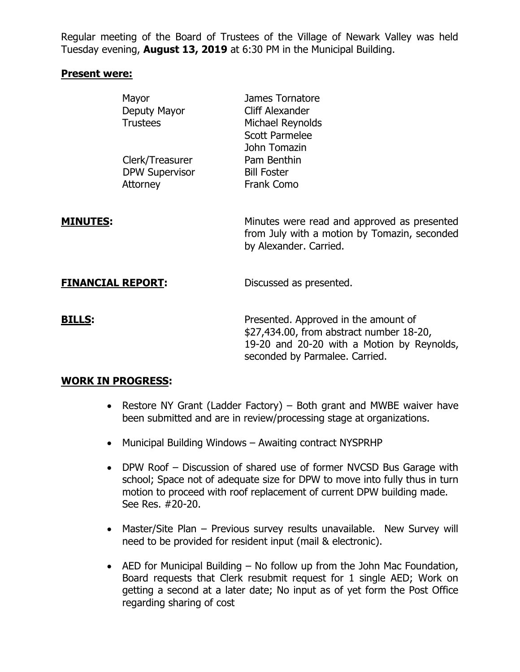Regular meeting of the Board of Trustees of the Village of Newark Valley was held Tuesday evening, **August 13, 2019** at 6:30 PM in the Municipal Building.

## **Present were:**

|                          | Mayor<br>Deputy Mayor<br><b>Trustees</b>             | James Tornatore<br>Cliff Alexander<br>Michael Reynolds<br><b>Scott Parmelee</b><br>John Tomazin                                                                  |
|--------------------------|------------------------------------------------------|------------------------------------------------------------------------------------------------------------------------------------------------------------------|
|                          | Clerk/Treasurer<br><b>DPW Supervisor</b><br>Attorney | Pam Benthin<br><b>Bill Foster</b><br>Frank Como                                                                                                                  |
| <u>MINUTES:</u>          |                                                      | Minutes were read and approved as presented<br>from July with a motion by Tomazin, seconded<br>by Alexander. Carried.                                            |
| <b>FINANCIAL REPORT:</b> |                                                      | Discussed as presented.                                                                                                                                          |
| <u>BILLS:</u>            |                                                      | Presented. Approved in the amount of<br>\$27,434.00, from abstract number 18-20,<br>19-20 and 20-20 with a Motion by Reynolds,<br>seconded by Parmalee. Carried. |

## **WORK IN PROGRESS:**

- Restore NY Grant (Ladder Factory) Both grant and MWBE waiver have been submitted and are in review/processing stage at organizations.
- Municipal Building Windows Awaiting contract NYSPRHP
- DPW Roof Discussion of shared use of former NVCSD Bus Garage with school; Space not of adequate size for DPW to move into fully thus in turn motion to proceed with roof replacement of current DPW building made. See Res. #20-20.
- Master/Site Plan Previous survey results unavailable. New Survey will need to be provided for resident input (mail & electronic).
- AED for Municipal Building No follow up from the John Mac Foundation, Board requests that Clerk resubmit request for 1 single AED; Work on getting a second at a later date; No input as of yet form the Post Office regarding sharing of cost